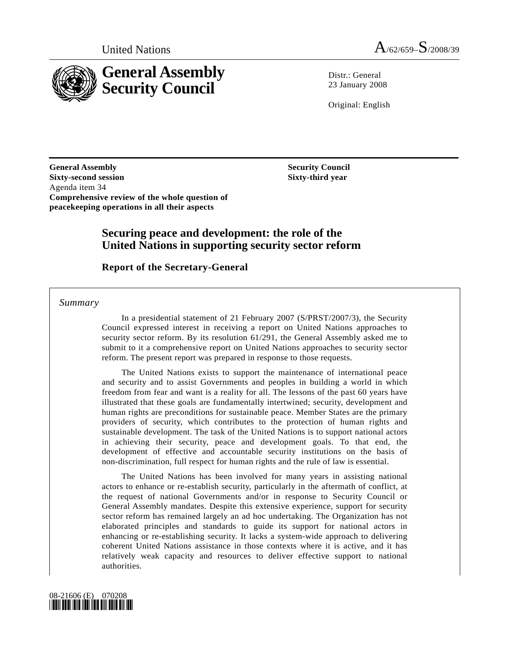

 $Distr: General$ 23 January 2008

Original: English

**General Assembly Sixty-second session**  Agenda item 34 **Comprehensive review of the whole question of peacekeeping operations in all their aspects**

 **Security Council Sixty-third year** 

### **Securing peace and development: the role of the United Nations in supporting security sector reform**

 **Report of the Secretary-General** 

 *Summary* 

 In a presidential statement of 21 February 2007 (S/PRST/2007/3), the Security Council expressed interest in receiving a report on United Nations approaches to security sector reform. By its resolution 61/291, the General Assembly asked me to submit to it a comprehensive report on United Nations approaches to security sector reform. The present report was prepared in response to those requests.

 The United Nations exists to support the maintenance of international peace and security and to assist Governments and peoples in building a world in which freedom from fear and want is a reality for all. The lessons of the past 60 years have illustrated that these goals are fundamentally intertwined; security, development and human rights are preconditions for sustainable peace. Member States are the primary providers of security, which contributes to the protection of human rights and sustainable development. The task of the United Nations is to support national actors in achieving their security, peace and development goals. To that end, the development of effective and accountable security institutions on the basis of non-discrimination, full respect for human rights and the rule of law is essential.

 The United Nations has been involved for many years in assisting national actors to enhance or re-establish security, particularly in the aftermath of conflict, at the request of national Governments and/or in response to Security Council or General Assembly mandates. Despite this extensive experience, support for security sector reform has remained largely an ad hoc undertaking. The Organization has not elaborated principles and standards to guide its support for national actors in enhancing or re-establishing security. It lacks a system-wide approach to delivering coherent United Nations assistance in those contexts where it is active, and it has relatively weak capacity and resources to deliver effective support to national authorities.

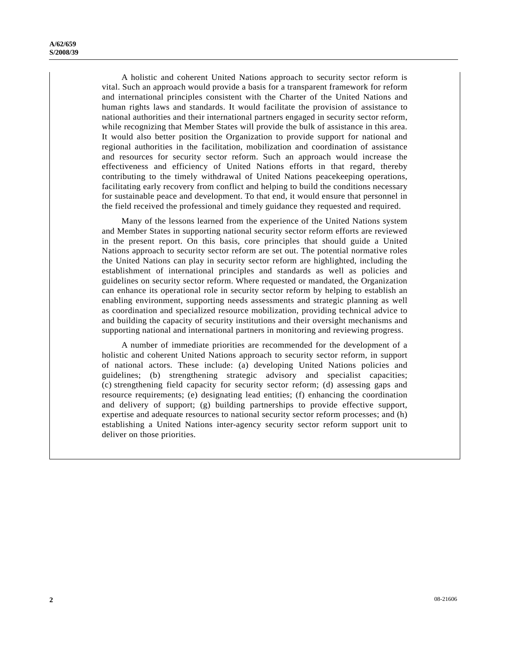A holistic and coherent United Nations approach to security sector reform is vital. Such an approach would provide a basis for a transparent framework for reform and international principles consistent with the Charter of the United Nations and human rights laws and standards. It would facilitate the provision of assistance to national authorities and their international partners engaged in security sector reform, while recognizing that Member States will provide the bulk of assistance in this area. It would also better position the Organization to provide support for national and regional authorities in the facilitation, mobilization and coordination of assistance and resources for security sector reform. Such an approach would increase the effectiveness and efficiency of United Nations efforts in that regard, thereby contributing to the timely withdrawal of United Nations peacekeeping operations, facilitating early recovery from conflict and helping to build the conditions necessary for sustainable peace and development. To that end, it would ensure that personnel in the field received the professional and timely guidance they requested and required.

 Many of the lessons learned from the experience of the United Nations system and Member States in supporting national security sector reform efforts are reviewed in the present report. On this basis, core principles that should guide a United Nations approach to security sector reform are set out. The potential normative roles the United Nations can play in security sector reform are highlighted, including the establishment of international principles and standards as well as policies and guidelines on security sector reform. Where requested or mandated, the Organization can enhance its operational role in security sector reform by helping to establish an enabling environment, supporting needs assessments and strategic planning as well as coordination and specialized resource mobilization, providing technical advice to and building the capacity of security institutions and their oversight mechanisms and supporting national and international partners in monitoring and reviewing progress.

 A number of immediate priorities are recommended for the development of a holistic and coherent United Nations approach to security sector reform, in support of national actors. These include: (a) developing United Nations policies and guidelines; (b) strengthening strategic advisory and specialist capacities; (c) strengthening field capacity for security sector reform; (d) assessing gaps and resource requirements; (e) designating lead entities; (f) enhancing the coordination and delivery of support; (g) building partnerships to provide effective support, expertise and adequate resources to national security sector reform processes; and (h) establishing a United Nations inter-agency security sector reform support unit to deliver on those priorities.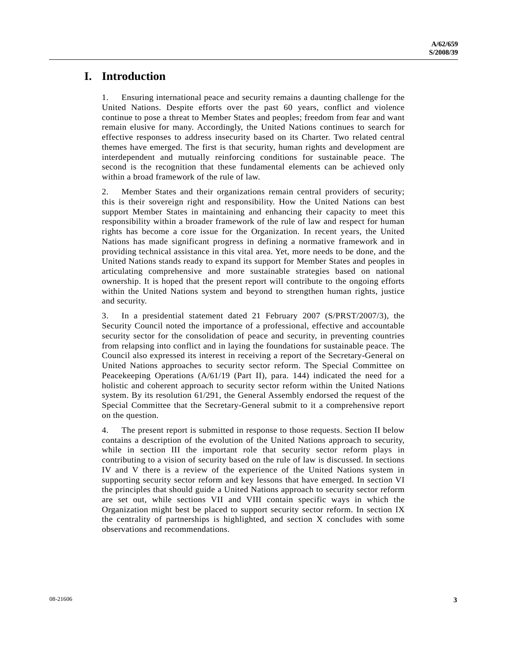### **I. Introduction**

1. Ensuring international peace and security remains a daunting challenge for the United Nations. Despite efforts over the past 60 years, conflict and violence continue to pose a threat to Member States and peoples; freedom from fear and want remain elusive for many. Accordingly, the United Nations continues to search for effective responses to address insecurity based on its Charter. Two related central themes have emerged. The first is that security, human rights and development are interdependent and mutually reinforcing conditions for sustainable peace. The second is the recognition that these fundamental elements can be achieved only within a broad framework of the rule of law.

2. Member States and their organizations remain central providers of security; this is their sovereign right and responsibility. How the United Nations can best support Member States in maintaining and enhancing their capacity to meet this responsibility within a broader framework of the rule of law and respect for human rights has become a core issue for the Organization. In recent years, the United Nations has made significant progress in defining a normative framework and in providing technical assistance in this vital area. Yet, more needs to be done, and the United Nations stands ready to expand its support for Member States and peoples in articulating comprehensive and more sustainable strategies based on national ownership. It is hoped that the present report will contribute to the ongoing efforts within the United Nations system and beyond to strengthen human rights, justice and security.

3. In a presidential statement dated 21 February 2007 (S/PRST/2007/3), the Security Council noted the importance of a professional, effective and accountable security sector for the consolidation of peace and security, in preventing countries from relapsing into conflict and in laying the foundations for sustainable peace. The Council also expressed its interest in receiving a report of the Secretary-General on United Nations approaches to security sector reform. The Special Committee on Peacekeeping Operations (A/61/19 (Part II), para. 144) indicated the need for a holistic and coherent approach to security sector reform within the United Nations system. By its resolution 61/291, the General Assembly endorsed the request of the Special Committee that the Secretary-General submit to it a comprehensive report on the question.

4. The present report is submitted in response to those requests. Section II below contains a description of the evolution of the United Nations approach to security, while in section III the important role that security sector reform plays in contributing to a vision of security based on the rule of law is discussed. In sections IV and V there is a review of the experience of the United Nations system in supporting security sector reform and key lessons that have emerged. In section VI the principles that should guide a United Nations approach to security sector reform are set out, while sections VII and VIII contain specific ways in which the Organization might best be placed to support security sector reform. In section IX the centrality of partnerships is highlighted, and section X concludes with some observations and recommendations.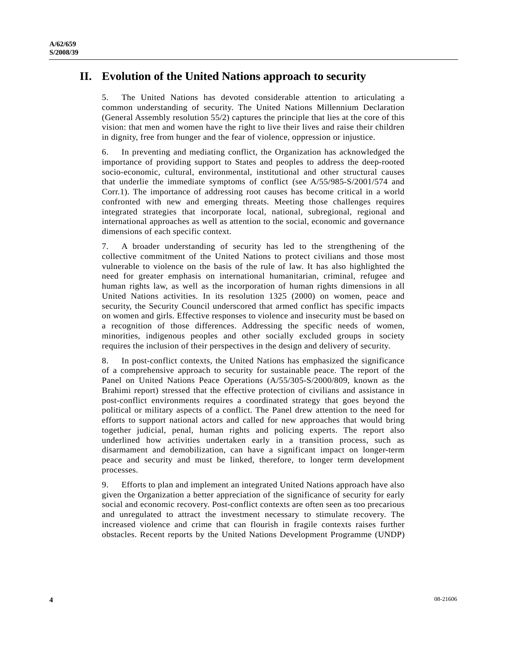# **II. Evolution of the United Nations approach to security**

5. The United Nations has devoted considerable attention to articulating a common understanding of security. The United Nations Millennium Declaration (General Assembly resolution 55/2) captures the principle that lies at the core of this vision: that men and women have the right to live their lives and raise their children in dignity, free from hunger and the fear of violence, oppression or injustice.

6. In preventing and mediating conflict, the Organization has acknowledged the importance of providing support to States and peoples to address the deep-rooted socio-economic, cultural, environmental, institutional and other structural causes that underlie the immediate symptoms of conflict (see A/55/985-S/2001/574 and Corr.1). The importance of addressing root causes has become critical in a world confronted with new and emerging threats. Meeting those challenges requires integrated strategies that incorporate local, national, subregional, regional and international approaches as well as attention to the social, economic and governance dimensions of each specific context.

7. A broader understanding of security has led to the strengthening of the collective commitment of the United Nations to protect civilians and those most vulnerable to violence on the basis of the rule of law. It has also highlighted the need for greater emphasis on international humanitarian, criminal, refugee and human rights law, as well as the incorporation of human rights dimensions in all United Nations activities. In its resolution 1325 (2000) on women, peace and security, the Security Council underscored that armed conflict has specific impacts on women and girls. Effective responses to violence and insecurity must be based on a recognition of those differences. Addressing the specific needs of women, minorities, indigenous peoples and other socially excluded groups in society requires the inclusion of their perspectives in the design and delivery of security.

8. In post-conflict contexts, the United Nations has emphasized the significance of a comprehensive approach to security for sustainable peace. The report of the Panel on United Nations Peace Operations (A/55/305-S/2000/809, known as the Brahimi report) stressed that the effective protection of civilians and assistance in post-conflict environments requires a coordinated strategy that goes beyond the political or military aspects of a conflict. The Panel drew attention to the need for efforts to support national actors and called for new approaches that would bring together judicial, penal, human rights and policing experts. The report also underlined how activities undertaken early in a transition process, such as disarmament and demobilization, can have a significant impact on longer-term peace and security and must be linked, therefore, to longer term development processes.

9. Efforts to plan and implement an integrated United Nations approach have also given the Organization a better appreciation of the significance of security for early social and economic recovery. Post-conflict contexts are often seen as too precarious and unregulated to attract the investment necessary to stimulate recovery. The increased violence and crime that can flourish in fragile contexts raises further obstacles. Recent reports by the United Nations Development Programme (UNDP)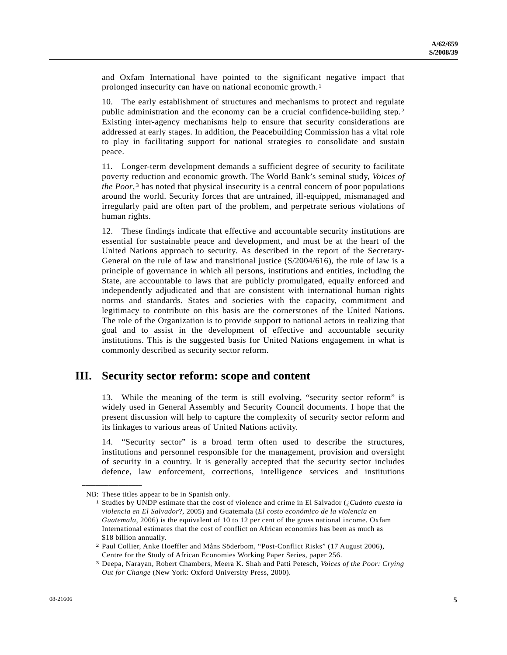and Oxfam International have pointed to the significant negative impact that prolonged insecurity can have on national economic growth.[1](#page-4-0)

10. The early establishment of structures and mechanisms to protect and regulate public administration and the economy can be a crucial confidence-building step.[2](#page-4-1) Existing inter-agency mechanisms help to ensure that security considerations are addressed at early stages. In addition, the Peacebuilding Commission has a vital role to play in facilitating support for national strategies to consolidate and sustain peace.

11. Longer-term development demands a sufficient degree of security to facilitate poverty reduction and economic growth. The World Bank's seminal study, *Voices of the Poor*,<sup>3</sup> has noted that physical insecurity is a central concern of poor populations around the world. Security forces that are untrained, ill-equipped, mismanaged and irregularly paid are often part of the problem, and perpetrate serious violations of human rights.

12. These findings indicate that effective and accountable security institutions are essential for sustainable peace and development, and must be at the heart of the United Nations approach to security. As described in the report of the Secretary-General on the rule of law and transitional justice (S/2004/616), the rule of law is a principle of governance in which all persons, institutions and entities, including the State, are accountable to laws that are publicly promulgated, equally enforced and independently adjudicated and that are consistent with international human rights norms and standards. States and societies with the capacity, commitment and legitimacy to contribute on this basis are the cornerstones of the United Nations. The role of the Organization is to provide support to national actors in realizing that goal and to assist in the development of effective and accountable security institutions. This is the suggested basis for United Nations engagement in what is commonly described as security sector reform.

### **III. Security sector reform: scope and content**

13. While the meaning of the term is still evolving, "security sector reform" is widely used in General Assembly and Security Council documents. I hope that the present discussion will help to capture the complexity of security sector reform and its linkages to various areas of United Nations activity.

14. "Security sector" is a broad term often used to describe the structures, institutions and personnel responsible for the management, provision and oversight of security in a country. It is generally accepted that the security sector includes defence, law enforcement, corrections, intelligence services and institutions

<span id="page-4-0"></span>**\_\_\_\_\_\_\_\_\_\_\_\_\_\_\_\_\_\_** 

NB: These titles appear to be in Spanish only. 1 Studies by UNDP estimate that the cost of violence and crime in El Salvador (¿*Cuánto cuesta la violencia en El Salvador*?, 2005) and Guatemala (*El costo económico de la violencia en Guatemala*, 2006) is the equivalent of 10 to 12 per cent of the gross national income. Oxfam International estimates that the cost of conflict on African economies has been as much as \$18 billion annually.

<span id="page-4-1"></span><sup>2</sup> Paul Collier, Anke Hoeffler and Måns Söderbom, "Post-Conflict Risks" (17 August 2006), Centre for the Study of African Economies Working Paper Series, paper 256.

<span id="page-4-2"></span><sup>3</sup> Deepa, Narayan, Robert Chambers, Meera K. Shah and Patti Petesch, *Voices of the Poor: Crying Out for Change* (New York: Oxford University Press, 2000).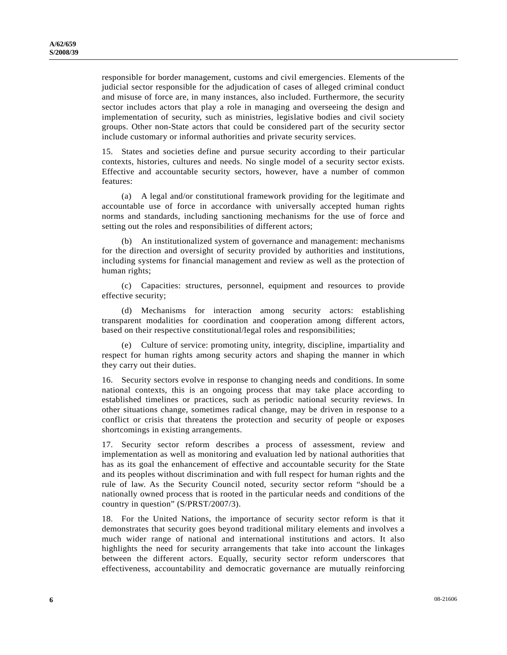responsible for border management, customs and civil emergencies. Elements of the judicial sector responsible for the adjudication of cases of alleged criminal conduct and misuse of force are, in many instances, also included. Furthermore, the security sector includes actors that play a role in managing and overseeing the design and implementation of security, such as ministries, legislative bodies and civil society groups. Other non-State actors that could be considered part of the security sector include customary or informal authorities and private security services.

15. States and societies define and pursue security according to their particular contexts, histories, cultures and needs. No single model of a security sector exists. Effective and accountable security sectors, however, have a number of common features:

 (a) A legal and/or constitutional framework providing for the legitimate and accountable use of force in accordance with universally accepted human rights norms and standards, including sanctioning mechanisms for the use of force and setting out the roles and responsibilities of different actors;

 (b) An institutionalized system of governance and management: mechanisms for the direction and oversight of security provided by authorities and institutions, including systems for financial management and review as well as the protection of human rights;

 (c) Capacities: structures, personnel, equipment and resources to provide effective security;

 (d) Mechanisms for interaction among security actors: establishing transparent modalities for coordination and cooperation among different actors, based on their respective constitutional/legal roles and responsibilities;

 (e) Culture of service: promoting unity, integrity, discipline, impartiality and respect for human rights among security actors and shaping the manner in which they carry out their duties.

16. Security sectors evolve in response to changing needs and conditions. In some national contexts, this is an ongoing process that may take place according to established timelines or practices, such as periodic national security reviews. In other situations change, sometimes radical change, may be driven in response to a conflict or crisis that threatens the protection and security of people or exposes shortcomings in existing arrangements.

17. Security sector reform describes a process of assessment, review and implementation as well as monitoring and evaluation led by national authorities that has as its goal the enhancement of effective and accountable security for the State and its peoples without discrimination and with full respect for human rights and the rule of law. As the Security Council noted, security sector reform "should be a nationally owned process that is rooted in the particular needs and conditions of the country in question" (S/PRST/2007/3).

18. For the United Nations, the importance of security sector reform is that it demonstrates that security goes beyond traditional military elements and involves a much wider range of national and international institutions and actors. It also highlights the need for security arrangements that take into account the linkages between the different actors. Equally, security sector reform underscores that effectiveness, accountability and democratic governance are mutually reinforcing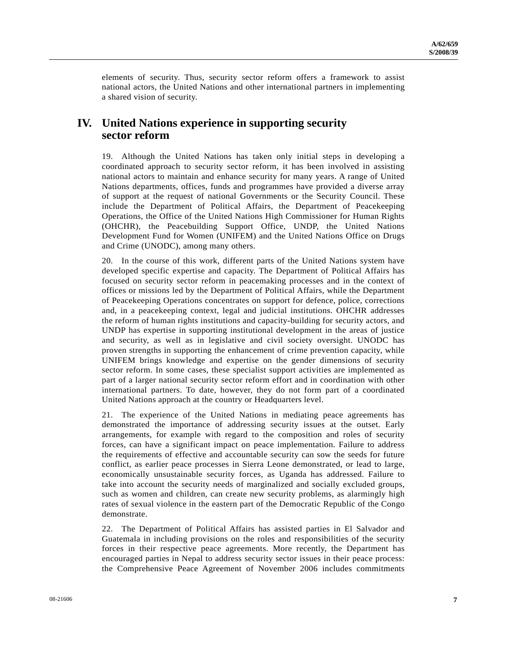elements of security. Thus, security sector reform offers a framework to assist national actors, the United Nations and other international partners in implementing a shared vision of security.

# **IV. United Nations experience in supporting security sector reform**

19. Although the United Nations has taken only initial steps in developing a coordinated approach to security sector reform, it has been involved in assisting national actors to maintain and enhance security for many years. A range of United Nations departments, offices, funds and programmes have provided a diverse array of support at the request of national Governments or the Security Council. These include the Department of Political Affairs, the Department of Peacekeeping Operations, the Office of the United Nations High Commissioner for Human Rights (OHCHR), the Peacebuilding Support Office, UNDP, the United Nations Development Fund for Women (UNIFEM) and the United Nations Office on Drugs and Crime (UNODC), among many others.

20. In the course of this work, different parts of the United Nations system have developed specific expertise and capacity. The Department of Political Affairs has focused on security sector reform in peacemaking processes and in the context of offices or missions led by the Department of Political Affairs, while the Department of Peacekeeping Operations concentrates on support for defence, police, corrections and, in a peacekeeping context, legal and judicial institutions. OHCHR addresses the reform of human rights institutions and capacity-building for security actors, and UNDP has expertise in supporting institutional development in the areas of justice and security, as well as in legislative and civil society oversight. UNODC has proven strengths in supporting the enhancement of crime prevention capacity, while UNIFEM brings knowledge and expertise on the gender dimensions of security sector reform. In some cases, these specialist support activities are implemented as part of a larger national security sector reform effort and in coordination with other international partners. To date, however, they do not form part of a coordinated United Nations approach at the country or Headquarters level.

21. The experience of the United Nations in mediating peace agreements has demonstrated the importance of addressing security issues at the outset. Early arrangements, for example with regard to the composition and roles of security forces, can have a significant impact on peace implementation. Failure to address the requirements of effective and accountable security can sow the seeds for future conflict, as earlier peace processes in Sierra Leone demonstrated, or lead to large, economically unsustainable security forces, as Uganda has addressed. Failure to take into account the security needs of marginalized and socially excluded groups, such as women and children, can create new security problems, as alarmingly high rates of sexual violence in the eastern part of the Democratic Republic of the Congo demonstrate.

22. The Department of Political Affairs has assisted parties in El Salvador and Guatemala in including provisions on the roles and responsibilities of the security forces in their respective peace agreements. More recently, the Department has encouraged parties in Nepal to address security sector issues in their peace process: the Comprehensive Peace Agreement of November 2006 includes commitments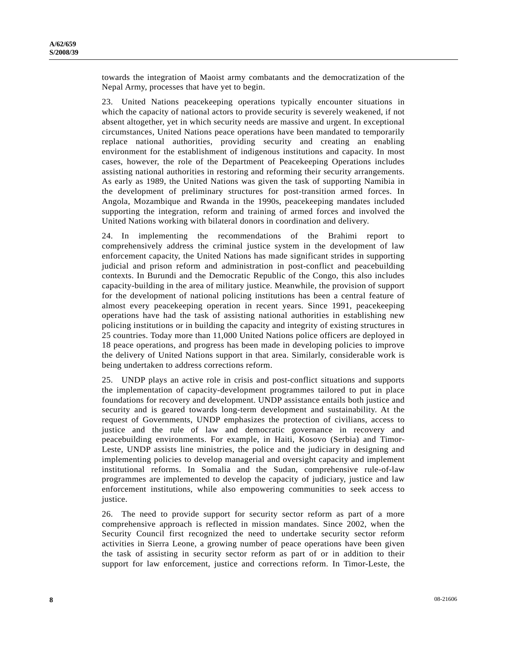towards the integration of Maoist army combatants and the democratization of the Nepal Army, processes that have yet to begin.

23. United Nations peacekeeping operations typically encounter situations in which the capacity of national actors to provide security is severely weakened, if not absent altogether, yet in which security needs are massive and urgent. In exceptional circumstances, United Nations peace operations have been mandated to temporarily replace national authorities, providing security and creating an enabling environment for the establishment of indigenous institutions and capacity. In most cases, however, the role of the Department of Peacekeeping Operations includes assisting national authorities in restoring and reforming their security arrangements. As early as 1989, the United Nations was given the task of supporting Namibia in the development of preliminary structures for post-transition armed forces. In Angola, Mozambique and Rwanda in the 1990s, peacekeeping mandates included supporting the integration, reform and training of armed forces and involved the United Nations working with bilateral donors in coordination and delivery.

24. In implementing the recommendations of the Brahimi report to comprehensively address the criminal justice system in the development of law enforcement capacity, the United Nations has made significant strides in supporting judicial and prison reform and administration in post-conflict and peacebuilding contexts. In Burundi and the Democratic Republic of the Congo, this also includes capacity-building in the area of military justice. Meanwhile, the provision of support for the development of national policing institutions has been a central feature of almost every peacekeeping operation in recent years. Since 1991, peacekeeping operations have had the task of assisting national authorities in establishing new policing institutions or in building the capacity and integrity of existing structures in 25 countries. Today more than 11,000 United Nations police officers are deployed in 18 peace operations, and progress has been made in developing policies to improve the delivery of United Nations support in that area. Similarly, considerable work is being undertaken to address corrections reform.

25. UNDP plays an active role in crisis and post-conflict situations and supports the implementation of capacity-development programmes tailored to put in place foundations for recovery and development. UNDP assistance entails both justice and security and is geared towards long-term development and sustainability. At the request of Governments, UNDP emphasizes the protection of civilians, access to justice and the rule of law and democratic governance in recovery and peacebuilding environments. For example, in Haiti, Kosovo (Serbia) and Timor-Leste, UNDP assists line ministries, the police and the judiciary in designing and implementing policies to develop managerial and oversight capacity and implement institutional reforms. In Somalia and the Sudan, comprehensive rule-of-law programmes are implemented to develop the capacity of judiciary, justice and law enforcement institutions, while also empowering communities to seek access to justice.

26. The need to provide support for security sector reform as part of a more comprehensive approach is reflected in mission mandates. Since 2002, when the Security Council first recognized the need to undertake security sector reform activities in Sierra Leone, a growing number of peace operations have been given the task of assisting in security sector reform as part of or in addition to their support for law enforcement, justice and corrections reform. In Timor-Leste, the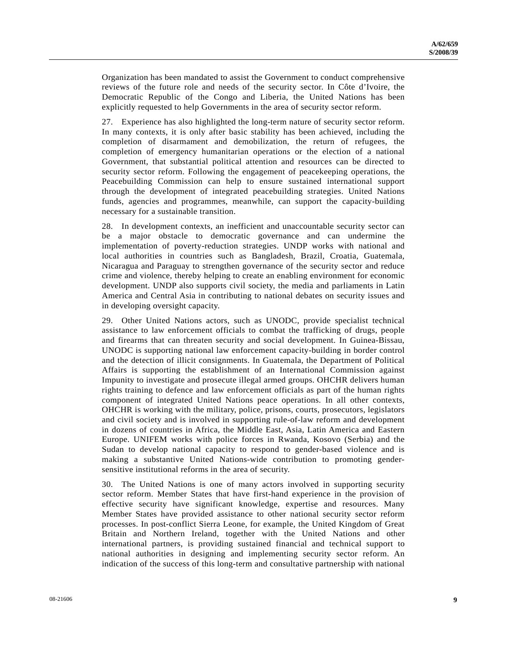Organization has been mandated to assist the Government to conduct comprehensive reviews of the future role and needs of the security sector. In Côte d'Ivoire, the Democratic Republic of the Congo and Liberia, the United Nations has been explicitly requested to help Governments in the area of security sector reform.

27. Experience has also highlighted the long-term nature of security sector reform. In many contexts, it is only after basic stability has been achieved, including the completion of disarmament and demobilization, the return of refugees, the completion of emergency humanitarian operations or the election of a national Government, that substantial political attention and resources can be directed to security sector reform. Following the engagement of peacekeeping operations, the Peacebuilding Commission can help to ensure sustained international support through the development of integrated peacebuilding strategies. United Nations funds, agencies and programmes, meanwhile, can support the capacity-building necessary for a sustainable transition.

28. In development contexts, an inefficient and unaccountable security sector can be a major obstacle to democratic governance and can undermine the implementation of poverty-reduction strategies. UNDP works with national and local authorities in countries such as Bangladesh, Brazil, Croatia, Guatemala, Nicaragua and Paraguay to strengthen governance of the security sector and reduce crime and violence, thereby helping to create an enabling environment for economic development. UNDP also supports civil society, the media and parliaments in Latin America and Central Asia in contributing to national debates on security issues and in developing oversight capacity.

29. Other United Nations actors, such as UNODC, provide specialist technical assistance to law enforcement officials to combat the trafficking of drugs, people and firearms that can threaten security and social development. In Guinea-Bissau, UNODC is supporting national law enforcement capacity-building in border control and the detection of illicit consignments. In Guatemala, the Department of Political Affairs is supporting the establishment of an International Commission against Impunity to investigate and prosecute illegal armed groups. OHCHR delivers human rights training to defence and law enforcement officials as part of the human rights component of integrated United Nations peace operations. In all other contexts, OHCHR is working with the military, police, prisons, courts, prosecutors, legislators and civil society and is involved in supporting rule-of-law reform and development in dozens of countries in Africa, the Middle East, Asia, Latin America and Eastern Europe. UNIFEM works with police forces in Rwanda, Kosovo (Serbia) and the Sudan to develop national capacity to respond to gender-based violence and is making a substantive United Nations-wide contribution to promoting gendersensitive institutional reforms in the area of security.

30. The United Nations is one of many actors involved in supporting security sector reform. Member States that have first-hand experience in the provision of effective security have significant knowledge, expertise and resources. Many Member States have provided assistance to other national security sector reform processes. In post-conflict Sierra Leone, for example, the United Kingdom of Great Britain and Northern Ireland, together with the United Nations and other international partners, is providing sustained financial and technical support to national authorities in designing and implementing security sector reform. An indication of the success of this long-term and consultative partnership with national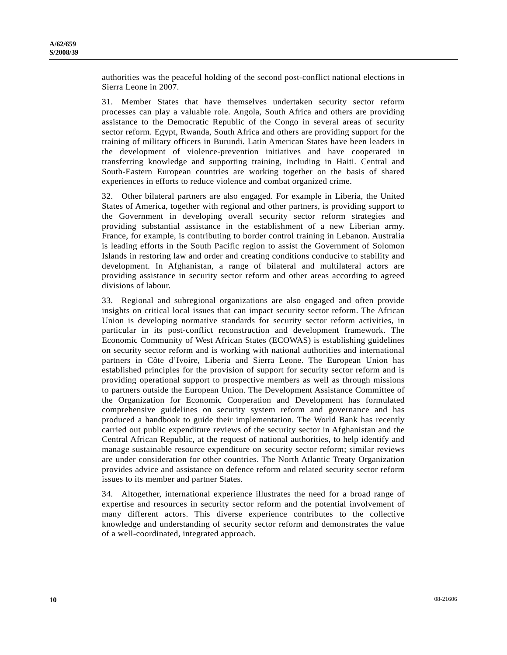authorities was the peaceful holding of the second post-conflict national elections in Sierra Leone in 2007.

31. Member States that have themselves undertaken security sector reform processes can play a valuable role. Angola, South Africa and others are providing assistance to the Democratic Republic of the Congo in several areas of security sector reform. Egypt, Rwanda, South Africa and others are providing support for the training of military officers in Burundi. Latin American States have been leaders in the development of violence-prevention initiatives and have cooperated in transferring knowledge and supporting training, including in Haiti. Central and South-Eastern European countries are working together on the basis of shared experiences in efforts to reduce violence and combat organized crime.

32. Other bilateral partners are also engaged. For example in Liberia, the United States of America, together with regional and other partners, is providing support to the Government in developing overall security sector reform strategies and providing substantial assistance in the establishment of a new Liberian army. France, for example, is contributing to border control training in Lebanon. Australia is leading efforts in the South Pacific region to assist the Government of Solomon Islands in restoring law and order and creating conditions conducive to stability and development. In Afghanistan, a range of bilateral and multilateral actors are providing assistance in security sector reform and other areas according to agreed divisions of labour.

33. Regional and subregional organizations are also engaged and often provide insights on critical local issues that can impact security sector reform. The African Union is developing normative standards for security sector reform activities, in particular in its post-conflict reconstruction and development framework. The Economic Community of West African States (ECOWAS) is establishing guidelines on security sector reform and is working with national authorities and international partners in Côte d'Ivoire, Liberia and Sierra Leone. The European Union has established principles for the provision of support for security sector reform and is providing operational support to prospective members as well as through missions to partners outside the European Union. The Development Assistance Committee of the Organization for Economic Cooperation and Development has formulated comprehensive guidelines on security system reform and governance and has produced a handbook to guide their implementation. The World Bank has recently carried out public expenditure reviews of the security sector in Afghanistan and the Central African Republic, at the request of national authorities, to help identify and manage sustainable resource expenditure on security sector reform; similar reviews are under consideration for other countries. The North Atlantic Treaty Organization provides advice and assistance on defence reform and related security sector reform issues to its member and partner States.

34. Altogether, international experience illustrates the need for a broad range of expertise and resources in security sector reform and the potential involvement of many different actors. This diverse experience contributes to the collective knowledge and understanding of security sector reform and demonstrates the value of a well-coordinated, integrated approach.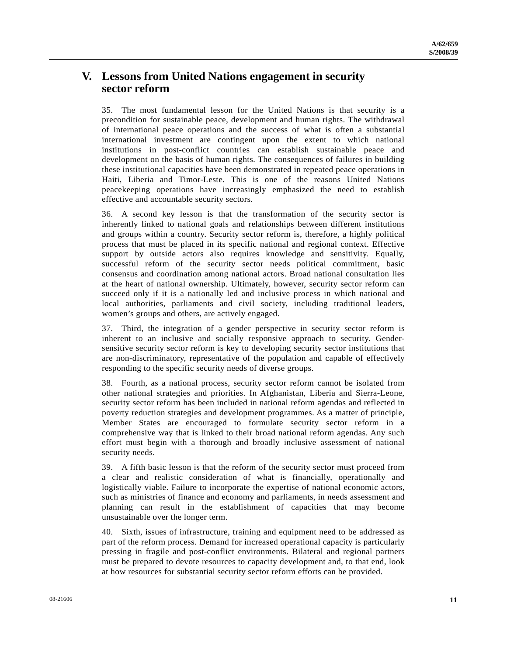# **V. Lessons from United Nations engagement in security sector reform**

35. The most fundamental lesson for the United Nations is that security is a precondition for sustainable peace, development and human rights. The withdrawal of international peace operations and the success of what is often a substantial international investment are contingent upon the extent to which national institutions in post-conflict countries can establish sustainable peace and development on the basis of human rights. The consequences of failures in building these institutional capacities have been demonstrated in repeated peace operations in Haiti, Liberia and Timor-Leste. This is one of the reasons United Nations peacekeeping operations have increasingly emphasized the need to establish effective and accountable security sectors.

36. A second key lesson is that the transformation of the security sector is inherently linked to national goals and relationships between different institutions and groups within a country. Security sector reform is, therefore, a highly political process that must be placed in its specific national and regional context. Effective support by outside actors also requires knowledge and sensitivity. Equally, successful reform of the security sector needs political commitment, basic consensus and coordination among national actors. Broad national consultation lies at the heart of national ownership. Ultimately, however, security sector reform can succeed only if it is a nationally led and inclusive process in which national and local authorities, parliaments and civil society, including traditional leaders, women's groups and others, are actively engaged.

37. Third, the integration of a gender perspective in security sector reform is inherent to an inclusive and socially responsive approach to security. Gendersensitive security sector reform is key to developing security sector institutions that are non-discriminatory, representative of the population and capable of effectively responding to the specific security needs of diverse groups.

38. Fourth, as a national process, security sector reform cannot be isolated from other national strategies and priorities. In Afghanistan, Liberia and Sierra-Leone, security sector reform has been included in national reform agendas and reflected in poverty reduction strategies and development programmes. As a matter of principle, Member States are encouraged to formulate security sector reform in a comprehensive way that is linked to their broad national reform agendas. Any such effort must begin with a thorough and broadly inclusive assessment of national security needs.

39. A fifth basic lesson is that the reform of the security sector must proceed from a clear and realistic consideration of what is financially, operationally and logistically viable. Failure to incorporate the expertise of national economic actors, such as ministries of finance and economy and parliaments, in needs assessment and planning can result in the establishment of capacities that may become unsustainable over the longer term.

40. Sixth, issues of infrastructure, training and equipment need to be addressed as part of the reform process. Demand for increased operational capacity is particularly pressing in fragile and post-conflict environments. Bilateral and regional partners must be prepared to devote resources to capacity development and, to that end, look at how resources for substantial security sector reform efforts can be provided.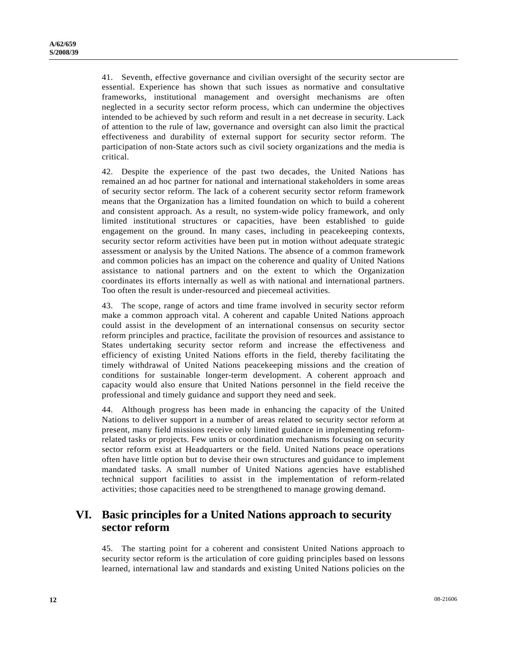41. Seventh, effective governance and civilian oversight of the security sector are essential. Experience has shown that such issues as normative and consultative frameworks, institutional management and oversight mechanisms are often neglected in a security sector reform process, which can undermine the objectives intended to be achieved by such reform and result in a net decrease in security. Lack of attention to the rule of law, governance and oversight can also limit the practical effectiveness and durability of external support for security sector reform. The participation of non-State actors such as civil society organizations and the media is critical.

42. Despite the experience of the past two decades, the United Nations has remained an ad hoc partner for national and international stakeholders in some areas of security sector reform. The lack of a coherent security sector reform framework means that the Organization has a limited foundation on which to build a coherent and consistent approach. As a result, no system-wide policy framework, and only limited institutional structures or capacities, have been established to guide engagement on the ground. In many cases, including in peacekeeping contexts, security sector reform activities have been put in motion without adequate strategic assessment or analysis by the United Nations. The absence of a common framework and common policies has an impact on the coherence and quality of United Nations assistance to national partners and on the extent to which the Organization coordinates its efforts internally as well as with national and international partners. Too often the result is under-resourced and piecemeal activities.

43. The scope, range of actors and time frame involved in security sector reform make a common approach vital. A coherent and capable United Nations approach could assist in the development of an international consensus on security sector reform principles and practice, facilitate the provision of resources and assistance to States undertaking security sector reform and increase the effectiveness and efficiency of existing United Nations efforts in the field, thereby facilitating the timely withdrawal of United Nations peacekeeping missions and the creation of conditions for sustainable longer-term development. A coherent approach and capacity would also ensure that United Nations personnel in the field receive the professional and timely guidance and support they need and seek.

44. Although progress has been made in enhancing the capacity of the United Nations to deliver support in a number of areas related to security sector reform at present, many field missions receive only limited guidance in implementing reformrelated tasks or projects. Few units or coordination mechanisms focusing on security sector reform exist at Headquarters or the field. United Nations peace operations often have little option but to devise their own structures and guidance to implement mandated tasks. A small number of United Nations agencies have established technical support facilities to assist in the implementation of reform-related activities; those capacities need to be strengthened to manage growing demand.

# **VI. Basic principles for a United Nations approach to security sector reform**

45. The starting point for a coherent and consistent United Nations approach to security sector reform is the articulation of core guiding principles based on lessons learned, international law and standards and existing United Nations policies on the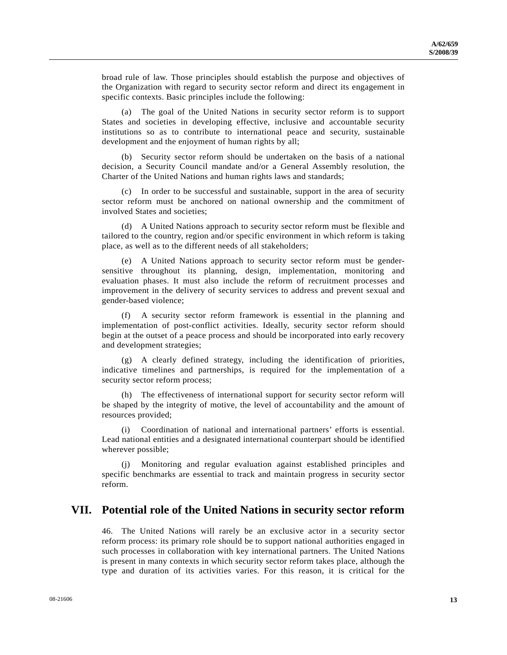broad rule of law. Those principles should establish the purpose and objectives of the Organization with regard to security sector reform and direct its engagement in specific contexts. Basic principles include the following:

 (a) The goal of the United Nations in security sector reform is to support States and societies in developing effective, inclusive and accountable security institutions so as to contribute to international peace and security, sustainable development and the enjoyment of human rights by all;

 (b) Security sector reform should be undertaken on the basis of a national decision, a Security Council mandate and/or a General Assembly resolution, the Charter of the United Nations and human rights laws and standards;

 (c) In order to be successful and sustainable, support in the area of security sector reform must be anchored on national ownership and the commitment of involved States and societies;

 (d) A United Nations approach to security sector reform must be flexible and tailored to the country, region and/or specific environment in which reform is taking place, as well as to the different needs of all stakeholders;

 (e) A United Nations approach to security sector reform must be gendersensitive throughout its planning, design, implementation, monitoring and evaluation phases. It must also include the reform of recruitment processes and improvement in the delivery of security services to address and prevent sexual and gender-based violence;

 (f) A security sector reform framework is essential in the planning and implementation of post-conflict activities. Ideally, security sector reform should begin at the outset of a peace process and should be incorporated into early recovery and development strategies;

 (g) A clearly defined strategy, including the identification of priorities, indicative timelines and partnerships, is required for the implementation of a security sector reform process;

 (h) The effectiveness of international support for security sector reform will be shaped by the integrity of motive, the level of accountability and the amount of resources provided;

Coordination of national and international partners' efforts is essential. Lead national entities and a designated international counterpart should be identified wherever possible;

 (j) Monitoring and regular evaluation against established principles and specific benchmarks are essential to track and maintain progress in security sector reform.

### **VII. Potential role of the United Nations in security sector reform**

46. The United Nations will rarely be an exclusive actor in a security sector reform process: its primary role should be to support national authorities engaged in such processes in collaboration with key international partners. The United Nations is present in many contexts in which security sector reform takes place, although the type and duration of its activities varies. For this reason, it is critical for the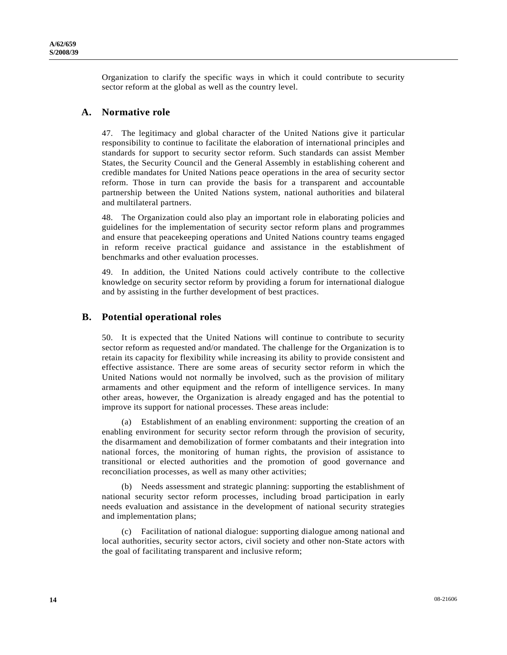Organization to clarify the specific ways in which it could contribute to security sector reform at the global as well as the country level.

#### **A. Normative role**

47. The legitimacy and global character of the United Nations give it particular responsibility to continue to facilitate the elaboration of international principles and standards for support to security sector reform. Such standards can assist Member States, the Security Council and the General Assembly in establishing coherent and credible mandates for United Nations peace operations in the area of security sector reform. Those in turn can provide the basis for a transparent and accountable partnership between the United Nations system, national authorities and bilateral and multilateral partners.

48. The Organization could also play an important role in elaborating policies and guidelines for the implementation of security sector reform plans and programmes and ensure that peacekeeping operations and United Nations country teams engaged in reform receive practical guidance and assistance in the establishment of benchmarks and other evaluation processes.

49. In addition, the United Nations could actively contribute to the collective knowledge on security sector reform by providing a forum for international dialogue and by assisting in the further development of best practices.

#### **B. Potential operational roles**

50. It is expected that the United Nations will continue to contribute to security sector reform as requested and/or mandated. The challenge for the Organization is to retain its capacity for flexibility while increasing its ability to provide consistent and effective assistance. There are some areas of security sector reform in which the United Nations would not normally be involved, such as the provision of military armaments and other equipment and the reform of intelligence services. In many other areas, however, the Organization is already engaged and has the potential to improve its support for national processes. These areas include:

 (a) Establishment of an enabling environment: supporting the creation of an enabling environment for security sector reform through the provision of security, the disarmament and demobilization of former combatants and their integration into national forces, the monitoring of human rights, the provision of assistance to transitional or elected authorities and the promotion of good governance and reconciliation processes, as well as many other activities;

 (b) Needs assessment and strategic planning: supporting the establishment of national security sector reform processes, including broad participation in early needs evaluation and assistance in the development of national security strategies and implementation plans;

 (c) Facilitation of national dialogue: supporting dialogue among national and local authorities, security sector actors, civil society and other non-State actors with the goal of facilitating transparent and inclusive reform;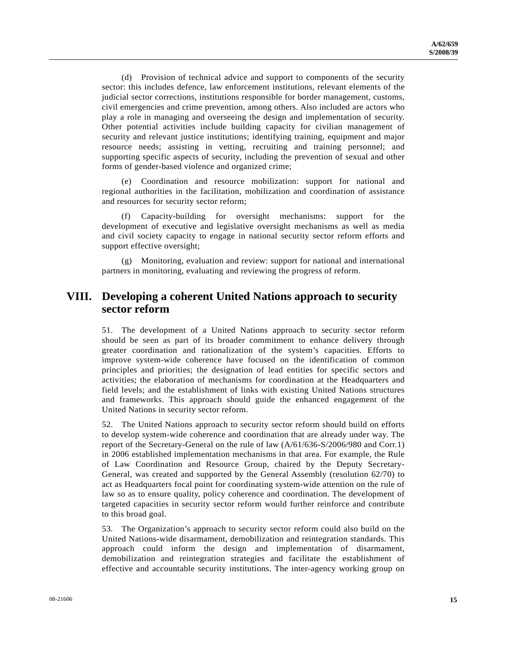(d) Provision of technical advice and support to components of the security sector: this includes defence, law enforcement institutions, relevant elements of the judicial sector corrections, institutions responsible for border management, customs, civil emergencies and crime prevention, among others. Also included are actors who play a role in managing and overseeing the design and implementation of security. Other potential activities include building capacity for civilian management of security and relevant justice institutions; identifying training, equipment and major resource needs; assisting in vetting, recruiting and training personnel; and supporting specific aspects of security, including the prevention of sexual and other forms of gender-based violence and organized crime;

 (e) Coordination and resource mobilization: support for national and regional authorities in the facilitation, mobilization and coordination of assistance and resources for security sector reform;

 (f) Capacity-building for oversight mechanisms: support for the development of executive and legislative oversight mechanisms as well as media and civil society capacity to engage in national security sector reform efforts and support effective oversight;

 (g) Monitoring, evaluation and review: support for national and international partners in monitoring, evaluating and reviewing the progress of reform.

### **VIII. Developing a coherent United Nations approach to security sector reform**

51. The development of a United Nations approach to security sector reform should be seen as part of its broader commitment to enhance delivery through greater coordination and rationalization of the system's capacities. Efforts to improve system-wide coherence have focused on the identification of common principles and priorities; the designation of lead entities for specific sectors and activities; the elaboration of mechanisms for coordination at the Headquarters and field levels; and the establishment of links with existing United Nations structures and frameworks. This approach should guide the enhanced engagement of the United Nations in security sector reform.

52. The United Nations approach to security sector reform should build on efforts to develop system-wide coherence and coordination that are already under way. The report of the Secretary-General on the rule of law (A/61/636-S/2006/980 and Corr.1) in 2006 established implementation mechanisms in that area. For example, the Rule of Law Coordination and Resource Group, chaired by the Deputy Secretary-General, was created and supported by the General Assembly (resolution 62/70) to act as Headquarters focal point for coordinating system-wide attention on the rule of law so as to ensure quality, policy coherence and coordination. The development of targeted capacities in security sector reform would further reinforce and contribute to this broad goal.

53. The Organization's approach to security sector reform could also build on the United Nations-wide disarmament, demobilization and reintegration standards. This approach could inform the design and implementation of disarmament, demobilization and reintegration strategies and facilitate the establishment of effective and accountable security institutions. The inter-agency working group on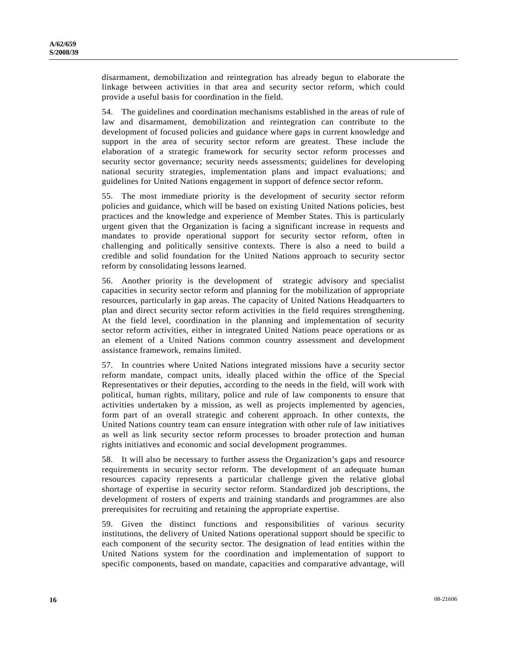disarmament, demobilization and reintegration has already begun to elaborate the linkage between activities in that area and security sector reform, which could provide a useful basis for coordination in the field.

54. The guidelines and coordination mechanisms established in the areas of rule of law and disarmament, demobilization and reintegration can contribute to the development of focused policies and guidance where gaps in current knowledge and support in the area of security sector reform are greatest. These include the elaboration of a strategic framework for security sector reform processes and security sector governance; security needs assessments; guidelines for developing national security strategies, implementation plans and impact evaluations; and guidelines for United Nations engagement in support of defence sector reform.

55. The most immediate priority is the development of security sector reform policies and guidance, which will be based on existing United Nations policies, best practices and the knowledge and experience of Member States. This is particularly urgent given that the Organization is facing a significant increase in requests and mandates to provide operational support for security sector reform, often in challenging and politically sensitive contexts. There is also a need to build a credible and solid foundation for the United Nations approach to security sector reform by consolidating lessons learned.

56. Another priority is the development of strategic advisory and specialist capacities in security sector reform and planning for the mobilization of appropriate resources, particularly in gap areas. The capacity of United Nations Headquarters to plan and direct security sector reform activities in the field requires strengthening. At the field level, coordination in the planning and implementation of security sector reform activities, either in integrated United Nations peace operations or as an element of a United Nations common country assessment and development assistance framework, remains limited.

57. In countries where United Nations integrated missions have a security sector reform mandate, compact units, ideally placed within the office of the Special Representatives or their deputies, according to the needs in the field, will work with political, human rights, military, police and rule of law components to ensure that activities undertaken by a mission, as well as projects implemented by agencies, form part of an overall strategic and coherent approach. In other contexts, the United Nations country team can ensure integration with other rule of law initiatives as well as link security sector reform processes to broader protection and human rights initiatives and economic and social development programmes.

58. It will also be necessary to further assess the Organization's gaps and resource requirements in security sector reform. The development of an adequate human resources capacity represents a particular challenge given the relative global shortage of expertise in security sector reform. Standardized job descriptions, the development of rosters of experts and training standards and programmes are also prerequisites for recruiting and retaining the appropriate expertise.

59. Given the distinct functions and responsibilities of various security institutions, the delivery of United Nations operational support should be specific to each component of the security sector. The designation of lead entities within the United Nations system for the coordination and implementation of support to specific components, based on mandate, capacities and comparative advantage, will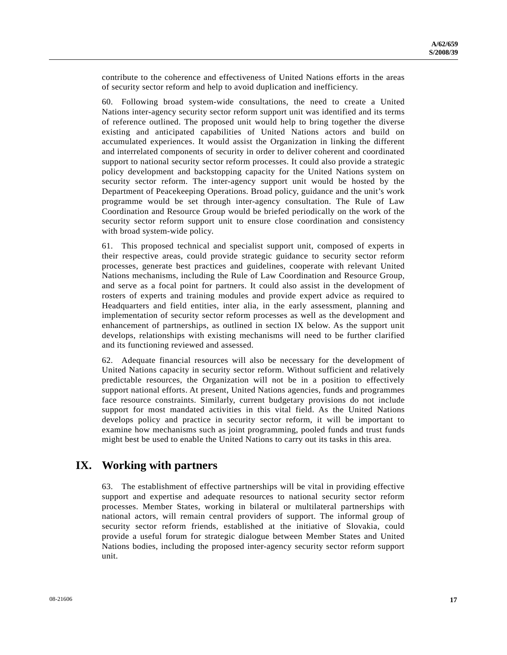contribute to the coherence and effectiveness of United Nations efforts in the areas of security sector reform and help to avoid duplication and inefficiency.

60. Following broad system-wide consultations, the need to create a United Nations inter-agency security sector reform support unit was identified and its terms of reference outlined. The proposed unit would help to bring together the diverse existing and anticipated capabilities of United Nations actors and build on accumulated experiences. It would assist the Organization in linking the different and interrelated components of security in order to deliver coherent and coordinated support to national security sector reform processes. It could also provide a strategic policy development and backstopping capacity for the United Nations system on security sector reform. The inter-agency support unit would be hosted by the Department of Peacekeeping Operations. Broad policy, guidance and the unit's work programme would be set through inter-agency consultation. The Rule of Law Coordination and Resource Group would be briefed periodically on the work of the security sector reform support unit to ensure close coordination and consistency with broad system-wide policy.

61. This proposed technical and specialist support unit, composed of experts in their respective areas, could provide strategic guidance to security sector reform processes, generate best practices and guidelines, cooperate with relevant United Nations mechanisms, including the Rule of Law Coordination and Resource Group, and serve as a focal point for partners. It could also assist in the development of rosters of experts and training modules and provide expert advice as required to Headquarters and field entities, inter alia, in the early assessment, planning and implementation of security sector reform processes as well as the development and enhancement of partnerships, as outlined in section IX below. As the support unit develops, relationships with existing mechanisms will need to be further clarified and its functioning reviewed and assessed.

62. Adequate financial resources will also be necessary for the development of United Nations capacity in security sector reform. Without sufficient and relatively predictable resources, the Organization will not be in a position to effectively support national efforts. At present, United Nations agencies, funds and programmes face resource constraints. Similarly, current budgetary provisions do not include support for most mandated activities in this vital field. As the United Nations develops policy and practice in security sector reform, it will be important to examine how mechanisms such as joint programming, pooled funds and trust funds might best be used to enable the United Nations to carry out its tasks in this area.

# **IX. Working with partners**

63. The establishment of effective partnerships will be vital in providing effective support and expertise and adequate resources to national security sector reform processes. Member States, working in bilateral or multilateral partnerships with national actors, will remain central providers of support. The informal group of security sector reform friends, established at the initiative of Slovakia, could provide a useful forum for strategic dialogue between Member States and United Nations bodies, including the proposed inter-agency security sector reform support unit.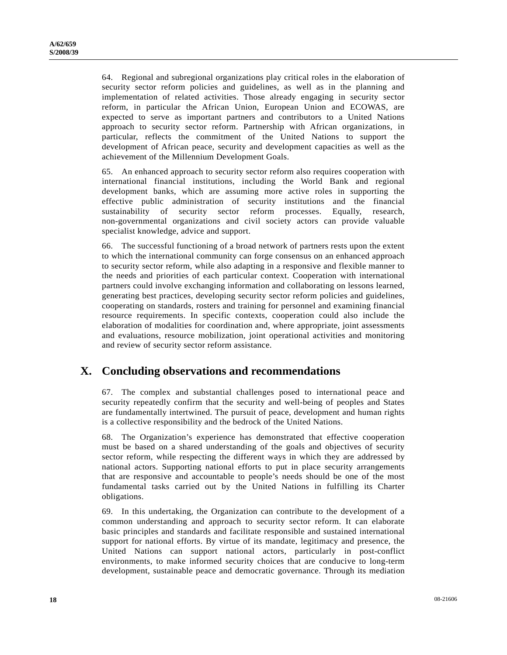64. Regional and subregional organizations play critical roles in the elaboration of security sector reform policies and guidelines, as well as in the planning and implementation of related activities. Those already engaging in security sector reform, in particular the African Union, European Union and ECOWAS, are expected to serve as important partners and contributors to a United Nations approach to security sector reform. Partnership with African organizations, in particular, reflects the commitment of the United Nations to support the development of African peace, security and development capacities as well as the achievement of the Millennium Development Goals.

65. An enhanced approach to security sector reform also requires cooperation with international financial institutions, including the World Bank and regional development banks, which are assuming more active roles in supporting the effective public administration of security institutions and the financial sustainability of security sector reform processes. Equally, research, non-governmental organizations and civil society actors can provide valuable specialist knowledge, advice and support.

66. The successful functioning of a broad network of partners rests upon the extent to which the international community can forge consensus on an enhanced approach to security sector reform, while also adapting in a responsive and flexible manner to the needs and priorities of each particular context. Cooperation with international partners could involve exchanging information and collaborating on lessons learned, generating best practices, developing security sector reform policies and guidelines, cooperating on standards, rosters and training for personnel and examining financial resource requirements. In specific contexts, cooperation could also include the elaboration of modalities for coordination and, where appropriate, joint assessments and evaluations, resource mobilization, joint operational activities and monitoring and review of security sector reform assistance.

### **X. Concluding observations and recommendations**

67. The complex and substantial challenges posed to international peace and security repeatedly confirm that the security and well-being of peoples and States are fundamentally intertwined. The pursuit of peace, development and human rights is a collective responsibility and the bedrock of the United Nations.

68. The Organization's experience has demonstrated that effective cooperation must be based on a shared understanding of the goals and objectives of security sector reform, while respecting the different ways in which they are addressed by national actors. Supporting national efforts to put in place security arrangements that are responsive and accountable to people's needs should be one of the most fundamental tasks carried out by the United Nations in fulfilling its Charter obligations.

69. In this undertaking, the Organization can contribute to the development of a common understanding and approach to security sector reform. It can elaborate basic principles and standards and facilitate responsible and sustained international support for national efforts. By virtue of its mandate, legitimacy and presence, the United Nations can support national actors, particularly in post-conflict environments, to make informed security choices that are conducive to long-term development, sustainable peace and democratic governance. Through its mediation